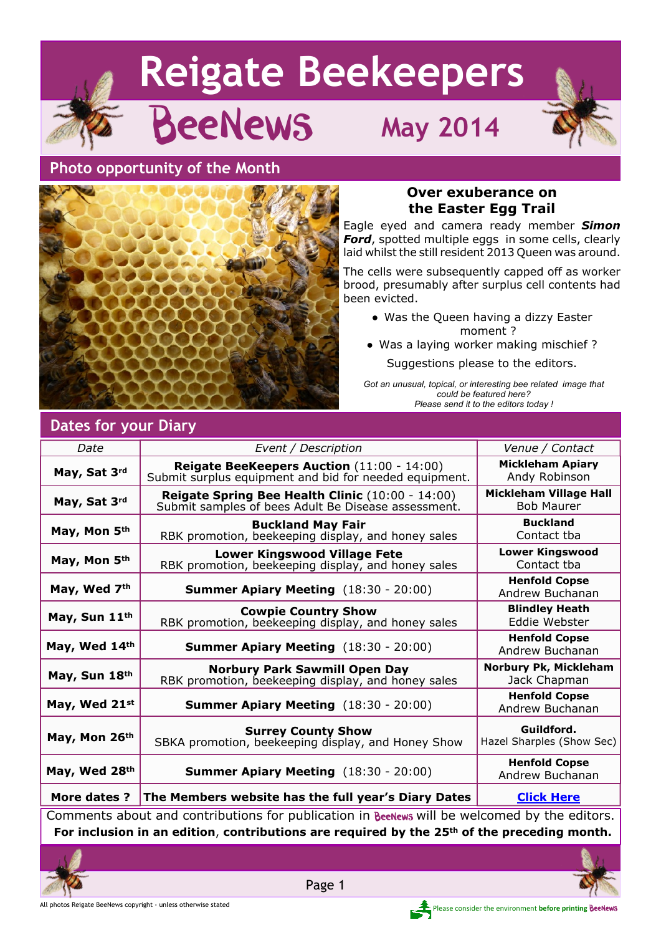# **Reigate Beekeepers BeeNews** May 2014 **Photo opportunity of the Month**



# **Over exuberance on the Easter Egg Trail**

Eagle eyed and camera ready member *Simon Ford*, spotted multiple eggs in some cells, clearly laid whilst the still resident 2013 Queen was around.

The cells were subsequently capped off as worker brood, presumably after surplus cell contents had been evicted.

- Was the Queen having a dizzy Easter moment ?
- Was a laying worker making mischief ? Suggestions please to the editors.

*Got an unusual, topical, or interesting bee related image that could be featured here? Please send it to the editors today !*

| Date                                                                                         | Event / Description                                                                                         | <i>Venue / Contact</i>                      |  |
|----------------------------------------------------------------------------------------------|-------------------------------------------------------------------------------------------------------------|---------------------------------------------|--|
| May, Sat 3rd                                                                                 | <b>Reigate BeeKeepers Auction (11:00 - 14:00)</b><br>Submit surplus equipment and bid for needed equipment. | <b>Mickleham Apiary</b><br>Andy Robinson    |  |
| May, Sat 3rd                                                                                 | Reigate Spring Bee Health Clinic (10:00 - 14:00)<br>Submit samples of bees Adult Be Disease assessment.     | Mickleham Village Hall<br><b>Bob Maurer</b> |  |
| May, Mon 5th                                                                                 | <b>Buckland May Fair</b><br>RBK promotion, beekeeping display, and honey sales                              | <b>Buckland</b><br>Contact tba              |  |
| May, Mon 5th                                                                                 | <b>Lower Kingswood Village Fete</b><br>RBK promotion, beekeeping display, and honey sales                   | <b>Lower Kingswood</b><br>Contact tba       |  |
| May, Wed 7th                                                                                 | <b>Summer Apiary Meeting</b> (18:30 - 20:00)                                                                | <b>Henfold Copse</b><br>Andrew Buchanan     |  |
| May, Sun 11th                                                                                | <b>Cowpie Country Show</b><br>RBK promotion, beekeeping display, and honey sales                            | <b>Blindley Heath</b><br>Eddie Webster      |  |
| May, Wed 14th                                                                                | <b>Summer Apiary Meeting</b> (18:30 - 20:00)                                                                | <b>Henfold Copse</b><br>Andrew Buchanan     |  |
| May, Sun 18th                                                                                | <b>Norbury Park Sawmill Open Day</b><br>RBK promotion, beekeeping display, and honey sales                  | Norbury Pk, Mickleham<br>Jack Chapman       |  |
| May, Wed 21st                                                                                | <b>Summer Apiary Meeting</b> (18:30 - 20:00)                                                                | <b>Henfold Copse</b><br>Andrew Buchanan     |  |
| May, Mon 26th                                                                                | <b>Surrey County Show</b><br>SBKA promotion, beekeeping display, and Honey Show                             | Guildford.<br>Hazel Sharples (Show Sec)     |  |
| May, Wed 28th                                                                                | <b>Summer Apiary Meeting</b> (18:30 - 20:00)                                                                | <b>Henfold Copse</b><br>Andrew Buchanan     |  |
| More dates ?                                                                                 | The Members website has the full year's Diary Dates                                                         | <b>Click Here</b>                           |  |
| Comments about and contributions for publication in BeeNews will be welcomed by the editors. |                                                                                                             |                                             |  |

**Dates for your Diary**

**For inclusion in an edition**, **contributions are required by the 25th of the preceding month.**



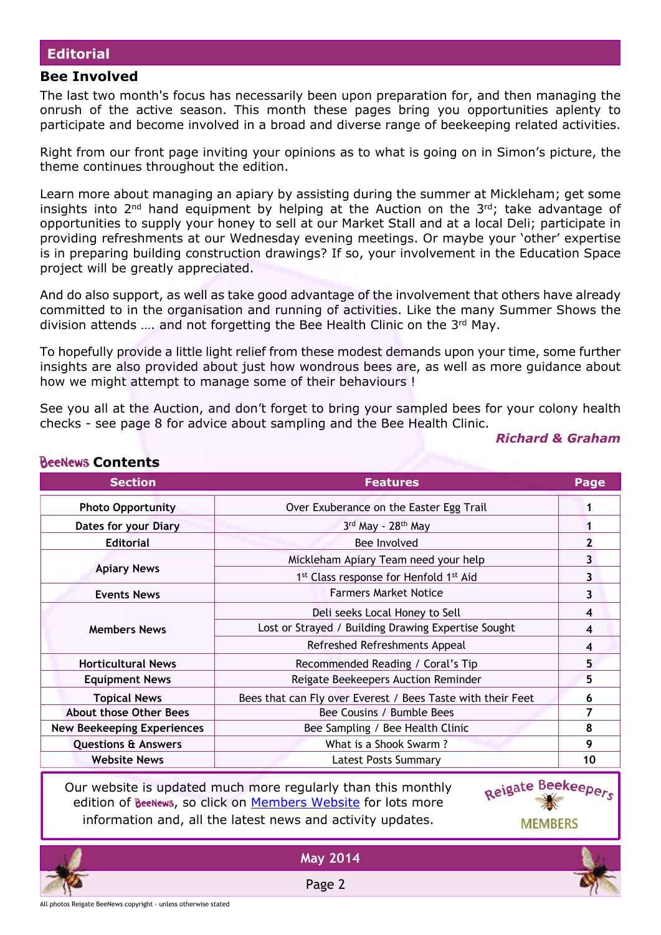### **Editorial**

### **Bee Involved**

Rochlows Contants

The last two month's focus has necessarily been upon preparation for, and then managing the onrush of the active season. This month these pages bring you opportunities aplenty to participate and become involved in a broad and diverse range of beekeeping related activities.

Right from our front page inviting your opinions as to what is going on in Simon's picture, the theme continues throughout the edition.

Learn more about managing an apiary by assisting during the summer at Mickleham; get some insights into  $2^{nd}$  hand equipment by helping at the Auction on the  $3^{rd}$ ; take advantage of opportunities to supply your honey to sell at our Market Stall and at a local Deli; participate in providing refreshments at our Wednesday evening meetings. Or maybe your 'other' expertise is in preparing building construction drawings? If so, your involvement in the Education Space project will be greatly appreciated.

And do also support, as well as take good advantage of the involvement that others have already committed to in the organisation and running of activities. Like the many Summer Shows the division attends …. and not forgetting the Bee Health Clinic on the 3rd May.

To hopefully provide a little light relief from these modest demands upon your time, some further insights are also provided about just how wondrous bees are, as well as more guidance about how we might attempt to manage some of their behaviours !

See you all at the Auction, and don't forget to bring your sampled bees for your colony health checks - see page 8 for advice about sampling and the Bee Health Clinic.

### *Richard & Graham*

| <u>NCCICMO CONTENTINO</u>         |                                                                |                |
|-----------------------------------|----------------------------------------------------------------|----------------|
| <b>Section</b>                    | <b>Features</b>                                                | Page           |
| <b>Photo Opportunity</b>          | Over Exuberance on the Easter Egg Trail                        |                |
| Dates for your Diary              | 3rd May - 28th May                                             |                |
| <b>Editorial</b>                  | Bee Involved                                                   | $\overline{2}$ |
|                                   | Mickleham Apiary Team need your help                           | 3              |
| <b>Apiary News</b>                | 1 <sup>st</sup> Class response for Henfold 1 <sup>st</sup> Aid | 3              |
| <b>Events News</b>                | <b>Farmers Market Notice</b>                                   | 3              |
|                                   | Deli seeks Local Honey to Sell                                 | 4              |
| <b>Members News</b>               | Lost or Strayed / Building Drawing Expertise Sought            |                |
|                                   | Refreshed Refreshments Appeal                                  |                |
| <b>Horticultural News</b>         | Recommended Reading / Coral's Tip                              | 5              |
| <b>Equipment News</b>             | Reigate Beekeepers Auction Reminder                            | 5              |
| <b>Topical News</b>               | Bees that can Fly over Everest / Bees Taste with their Feet    | 6              |
| <b>About those Other Bees</b>     | Bee Cousins / Bumble Bees                                      | 7              |
| <b>New Beekeeping Experiences</b> | Bee Sampling / Bee Health Clinic                               | 8              |
| <b>Questions &amp; Answers</b>    | What is a Shook Swarm?                                         | 9              |
| <b>Website News</b>               | <b>Latest Posts Summary</b>                                    | 10             |
|                                   |                                                                |                |

Our website is updated much more regularly than this monthly edition of BeeNews, so click on [Members Website](http://rbkbblog.com) for lots more information and, all the latest news and activity updates.





**May 2014**

Page 2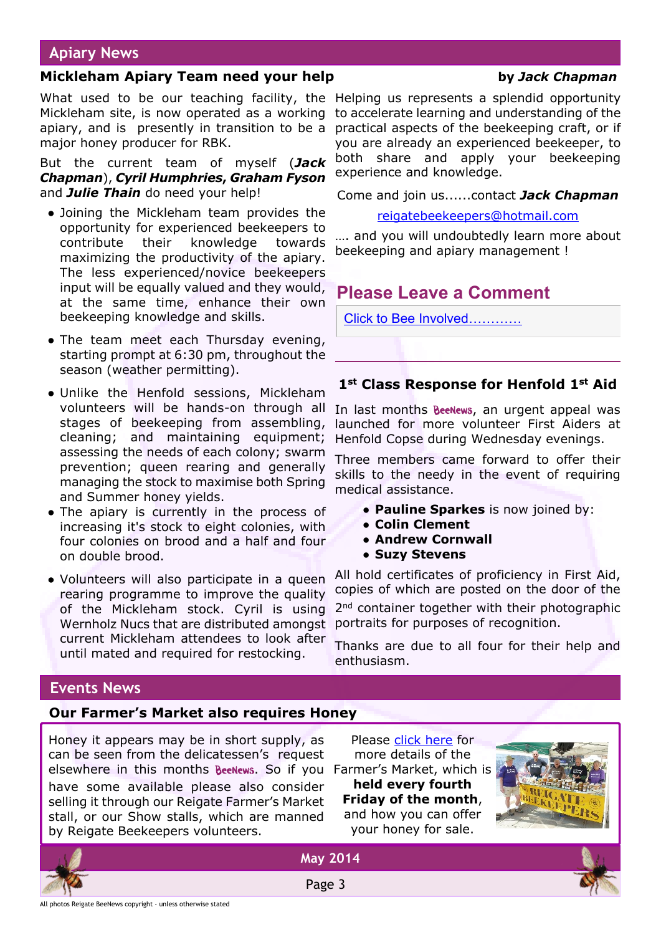# **Apiary News**

### **Mickleham Apiary Team need your help by** *Jack Chapman*

What used to be our teaching facility, the Helping us represents a splendid opportunity Mickleham site, is now operated as a working to accelerate learning and understanding of the apiary, and is presently in transition to be a practical aspects of the beekeeping craft, or if major honey producer for RBK.

But the current team of myself (*Jack Chapman*), *Cyril Humphries***,** *Graham Fyson* and *Julie Thain* do need your help!

- Joining the Mickleham team provides the opportunity for experienced beekeepers to contribute their knowledge towards maximizing the productivity of the apiary. The less experienced/novice beekeepers input will be equally valued and they would, at the same time, enhance their own beekeeping knowledge and skills.
- The team meet each Thursday evening, starting prompt at 6:30 pm, throughout the season (weather permitting).
- Unlike the Henfold sessions, Mickleham volunteers will be hands-on through all stages of beekeeping from assembling, cleaning; and maintaining equipment; assessing the needs of each colony; swarm prevention; queen rearing and generally managing the stock to maximise both Spring and Summer honey yields.
- The apiary is currently in the process of increasing it's stock to eight colonies, with four colonies on brood and a half and four on double brood.
- Volunteers will also participate in a queen rearing programme to improve the quality of the Mickleham stock. Cyril is using Wernholz Nucs that are distributed amongst current Mickleham attendees to look after until mated and required for restocking.

you are already an experienced beekeeper, to both share and apply your beekeeping experience and knowledge.

Come and join us......contact *Jack Chapman*

[reigatebeekeepers@hotmail.com](mailto:reigatebeekeepers@hotmail.com)

…. and you will undoubtedly learn more about beekeeping and apiary management !

# **Please Leave a Comment**

[Click to Bee Involved…………](http://rbkbblog.com/2014/04/28/may-2014-beenews/)

# **1st Class Response for Henfold 1st Aid**

In last months **BeeNews**, an urgent appeal was launched for more volunteer First Aiders at Henfold Copse during Wednesday evenings.

Three members came forward to offer their skills to the needy in the event of requiring medical assistance.

- **Pauline Sparkes** is now joined by:
- **● Colin Clement**
- **● Andrew Cornwall**
- **● Suzy Stevens**

All hold certificates of proficiency in First Aid, copies of which are posted on the door of the 2<sup>nd</sup> container together with their photographic portraits for purposes of recognition.

Thanks are due to all four for their help and enthusiasm.

# **Events News**

# **Our Farmer's Market also requires Honey**

Honey it appears may be in short supply, as can be seen from the delicatessen's request elsewhere in this months BeeNews. So if you Farmer's Market, which is have some available please also consider selling it through our Reigate Farmer's Market stall, or our Show stalls, which are manned by Reigate Beekeepers volunteers.

Please [click here](http://rbkbblog.com/2013/02/20/honey-needed-for-sale/#more-3731) for more details of the **held every fourth Friday of the month**, and how you can offer your honey for sale.







**May 2014**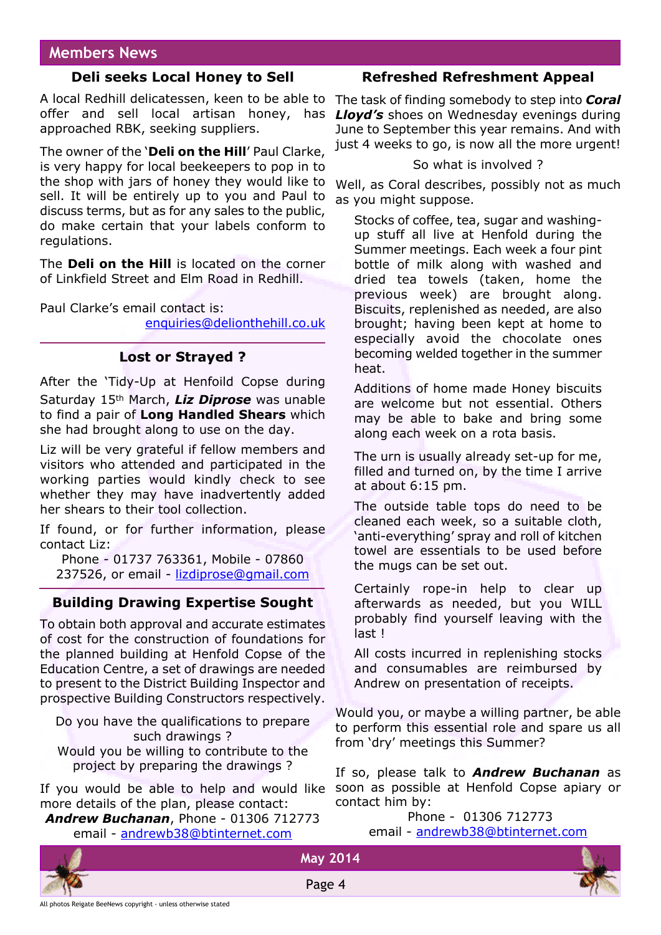# **Members News**

# **Deli seeks Local Honey to Sell**

A local Redhill delicatessen, keen to be able to offer and sell local artisan honey, has *Lloyd's* shoes on Wednesday evenings during approached RBK, seeking suppliers.

The owner of the '**Deli on the Hill**' Paul Clarke, is very happy for local beekeepers to pop in to the shop with jars of honey they would like to sell. It will be entirely up to you and Paul to discuss terms, but as for any sales to the public, do make certain that your labels conform to regulations.

The **Deli on the Hill** is located on the corner of Linkfield Street and Elm Road in Redhill.

Paul Clarke's email contact is:

[enquiries@delionthehill.co.uk](mailto:enquiries@delionthehill.co.uk)

# **Lost or Strayed ?**

After the 'Tidy-Up at Henfoild Copse during Saturday 15th March, *Liz Diprose* was unable to find a pair of **Long Handled Shears** which she had brought along to use on the day.

Liz will be very grateful if fellow members and visitors who attended and participated in the working parties would kindly check to see whether they may have inadvertently added her shears to their tool collection.

If found, or for further information, please contact Liz:

Phone - 01737 763361, Mobile - 07860 237526, or email - [lizdiprose@gmail.com](mailto:lizdiprose@gmail.com)

# **Building Drawing Expertise Sought**

To obtain both approval and accurate estimates of cost for the construction of foundations for the planned building at Henfold Copse of the Education Centre, a set of drawings are needed to present to the District Building Inspector and prospective Building Constructors respectively.

Do you have the qualifications to prepare such drawings ?

Would you be willing to contribute to the project by preparing the drawings ?

If you would be able to help and would like more details of the plan, please contact:

*Andrew Buchanan*, Phone - 01306 712773 email - [andrewb38@btinternet.com](mailto:andrewb38@btinternet.com)

# **Refreshed Refreshment Appeal**

The task of finding somebody to step into *Coral* June to September this year remains. And with just 4 weeks to go, is now all the more urgent!

### So what is involved ?

Well, as Coral describes, possibly not as much as you might suppose.

Stocks of coffee, tea, sugar and washingup stuff all live at Henfold during the Summer meetings. Each week a four pint bottle of milk along with washed and dried tea towels (taken, home the previous week) are brought along. Biscuits, replenished as needed, are also brought; having been kept at home to especially avoid the chocolate ones becoming welded together in the summer heat.

Additions of home made Honey biscuits are welcome but not essential. Others may be able to bake and bring some along each week on a rota basis.

The urn is usually already set-up for me, filled and turned on, by the time I arrive at about 6:15 pm.

The outside table tops do need to be cleaned each week, so a suitable cloth, 'anti-everything' spray and roll of kitchen towel are essentials to be used before the mugs can be set out.

Certainly rope-in help to clear up afterwards as needed, but you WILL probably find yourself leaving with the last !

All costs incurred in replenishing stocks and consumables are reimbursed by Andrew on presentation of receipts.

Would you, or maybe a willing partner, be able to perform this essential role and spare us all from 'dry' meetings this Summer?

If so, please talk to *Andrew Buchanan* as soon as possible at Henfold Copse apiary or contact him by:

 Phone - 01306 712773 email - [andrewb38@btinternet.com](mailto:andrewb38@btinternet.com)





**May 2014**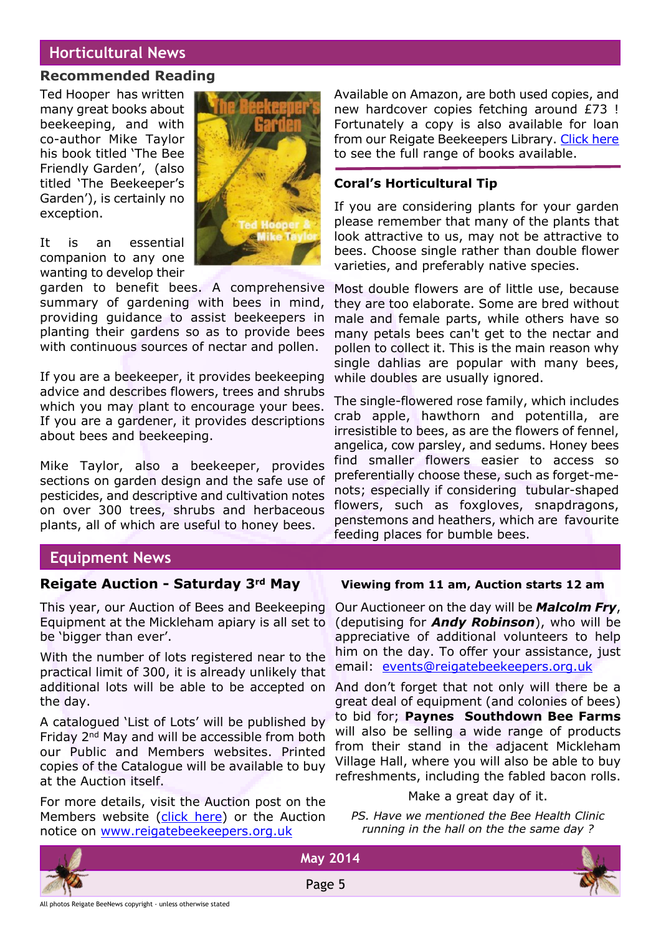# **Horticultural News**

### **Recommended Reading**

Ted Hooper has written many great books about beekeeping, and with co-author Mike Taylor his book titled 'The Bee Friendly Garden', (also titled 'The Beekeeper's Garden'), is certainly no exception.

It is an essential companion to any one wanting to develop their

garden to benefit bees. A comprehensive summary of gardening with bees in mind, providing guidance to assist beekeepers in planting their gardens so as to provide bees with continuous sources of nectar and pollen.

If you are a beekeeper, it provides beekeeping advice and describes flowers, trees and shrubs which you may plant to encourage your bees. If you are a gardener, it provides descriptions about bees and beekeeping.

Mike Taylor, also a beekeeper, provides sections on garden design and the safe use of pesticides, and descriptive and cultivation notes on over 300 trees, shrubs and herbaceous plants, all of which are useful to honey bees.

Available on Amazon, are both used copies, and new hardcover copies fetching around £73 ! Fortunately a copy is also available for loan from our Reigate Beekeepers Library. [Click here](http://rbkbblog.com/books/) to see the full range of books available.

### **Coral's Horticultural Tip**

If you are considering plants for your garden please remember that many of the plants that look attractive to us, may not be attractive to bees. Choose single rather than double flower varieties, and preferably native species.

Most double flowers are of little use, because they are too elaborate. Some are bred without male and female parts, while others have so many petals bees can't get to the nectar and pollen to collect it. This is the main reason why single dahlias are popular with many bees, while doubles are usually ignored.

The single-flowered rose family, which includes crab apple, hawthorn and potentilla, are irresistible to bees, as are the flowers of fennel, angelica, cow parsley, and sedums. Honey bees find smaller flowers easier to access so preferentially choose these, such as forget-menots; especially if considering tubular-shaped flowers, such as foxgloves, snapdragons, penstemons and heathers, which are favourite feeding places for bumble bees.

# **Equipment News**

# **Reigate Auction - Saturday 3rd May Viewing from 11 am, Auction starts 12 am**

This year, our Auction of Bees and Beekeeping Equipment at the Mickleham apiary is all set to be 'bigger than ever'.

With the number of lots registered near to the practical limit of 300, it is already unlikely that additional lots will be able to be accepted on the day.

A catalogued 'List of Lots' will be published by Friday 2nd May and will be accessible from both our Public and Members websites. Printed copies of the Catalogue will be available to buy at the Auction itself.

For more details, visit the Auction post on the Members website [\(click here](http://rbkbblog.com/2014/01/28/reigate-beekeepers-auction-of-bees-beekeeping-equipment/)) or the Auction notice on [www.reigatebeekeepers.org.uk](http://www.reigatebeekeepers.org.uk)

Our Auctioneer on the day will be *Malcolm Fry*, (deputising for *Andy Robinson*), who will be appreciative of additional volunteers to help him on the day. To offer your assistance, just email: [events@reigatebeekeepers.org.uk](mailto:events@reigatebeekeepers.org.uk)

And don't forget that not only will there be a great deal of equipment (and colonies of bees) to bid for; **Paynes Southdown Bee Farms** will also be selling a wide range of products from their stand in the adjacent Mickleham Village Hall, where you will also be able to buy refreshments, including the fabled bacon rolls.

### Make a great day of it.

*PS. Have we mentioned the Bee Health Clinic running in the hall on the the same day ?*



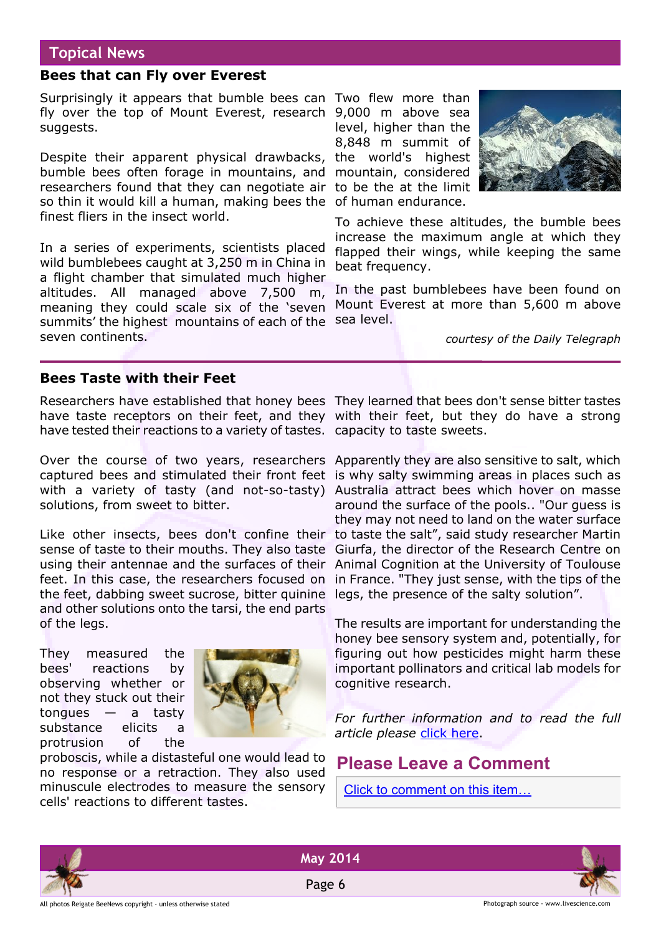# **Topical News**

# **Bees that can Fly over Everest**

Surprisingly it appears that bumble bees can Two flew more than fly over the top of Mount Everest, research 9,000 m above sea suggests.

Despite their apparent physical drawbacks, the world's highest bumble bees often forage in mountains, and mountain, considered researchers found that they can negotiate air to be the at the limit so thin it would kill a human, making bees the of human endurance. finest fliers in the insect world.

In a series of experiments, scientists placed wild bumblebees caught at 3,250 m in China in a flight chamber that simulated much higher altitudes. All managed above 7,500 m, meaning they could scale six of the 'seven summits' the highest mountains of each of the sea level. seven continents.

level, higher than the 8,848 m summit of



To achieve these altitudes, the bumble bees increase the maximum angle at which they flapped their wings, while keeping the same beat frequency.

In the past bumblebees have been found on Mount Everest at more than 5,600 m above

*courtesy of the Daily Telegraph*

# **Bees Taste with their Feet**

Researchers have established that honey bees They learned that bees don't sense bitter tastes have taste receptors on their feet, and they with their feet, but they do have a strong have tested their reactions to a variety of tastes. capacity to taste sweets.

Over the course of two years, researchers Apparently they are also sensitive to salt, which captured bees and stimulated their front feet is why salty swimming areas in places such as with a variety of tasty (and not-so-tasty) Australia attract bees which hover on masse solutions, from sweet to bitter.

Like other insects, bees don't confine their to taste the salt", said study researcher Martin sense of taste to their mouths. They also taste Giurfa, the director of the Research Centre on using their antennae and the surfaces of their Animal Cognition at the University of Toulouse feet. In this case, the researchers focused on in France. "They just sense, with the tips of the the feet, dabbing sweet sucrose, bitter quinine legs, the presence of the salty solution". and other solutions onto the tarsi, the end parts of the legs.

They measured the bees' reactions by observing whether or not they stuck out their  $t$ ongues — a tasty substance elicits a protrusion of the



proboscis, while a distasteful one would lead to no response or a retraction. They also used minuscule electrodes to measure the sensory cells' reactions to different tastes.

around the surface of the pools.. "Our guess is they may not need to land on the water surface

The results are important for understanding the honey bee sensory system and, potentially, for figuring out how pesticides might harm these important pollinators and critical lab models for cognitive research.

*For further information and to read the full article please* [click here](http://www.livescience.com/43103-bees-taste-with-feet.html).

# **Please Leave a Comment**

[Click to comment on this item…](http://rbkbblog.com/2014/04/28/may-2014-beenews/)





Page 6

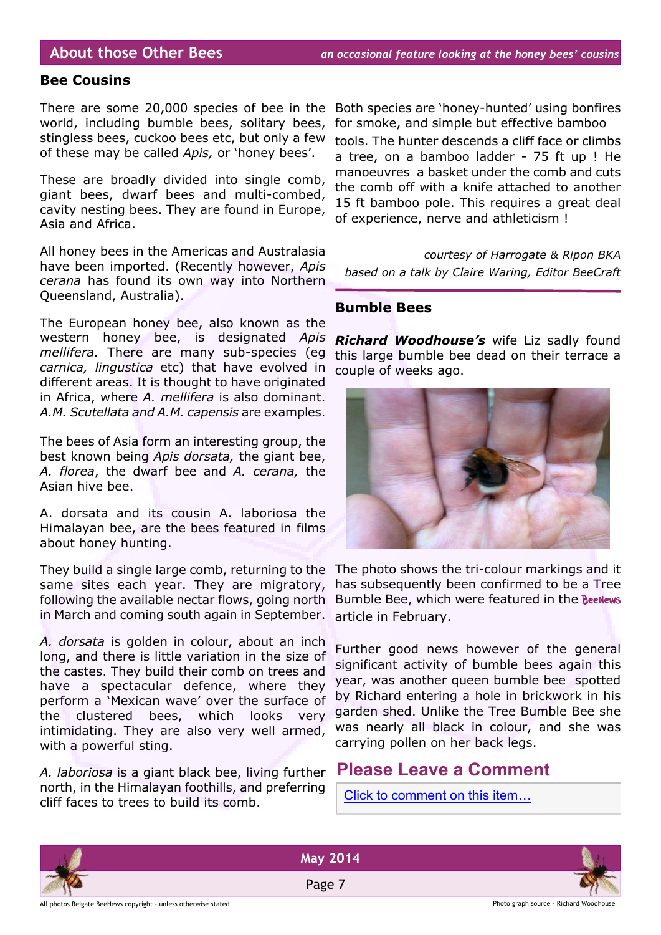### **Bee Cousins**

There are some 20,000 species of bee in the world, including bumble bees, solitary bees, stingless bees, cuckoo bees etc, but only a few of these may be called *Apis,* or 'honey bees'.

These are broadly divided into single comb, giant bees, dwarf bees and multi-combed, cavity nesting bees. They are found in Europe, Asia and Africa.

All honey bees in the Americas and Australasia have been imported. (Recently however, *Apis cerana* has found its own way into Northern Queensland, Australia).

The European honey bee, also known as the western honey bee, is designated *Apis mellifera.* There are many sub-species (eg *carnica, lingustica* etc) that have evolved in different areas. It is thought to have originated in Africa, where *A. mellifera* is also dominant. *A.M. Scutellata and A.M. capensis* are examples.

The bees of Asia form an interesting group, the best known being *Apis dorsata,* the giant bee, *A. florea*, the dwarf bee and *A. cerana,* the Asian hive bee.

A. dorsata and its cousin A. laboriosa the Himalayan bee, are the bees featured in films about honey hunting.

They build a single large comb, returning to the The photo shows the tri-colour markings and it same sites each year. They are migratory, following the available nectar flows, going north in March and coming south again in September.

*A. dorsata* is golden in colour, about an inch long, and there is little variation in the size of the castes. They build their comb on trees and have a spectacular defence, where they perform a 'Mexican wave' over the surface of the clustered bees, which looks very intimidating. They are also very well armed, with a powerful sting.

*A. laboriosa* is a giant black bee, living further north, in the Himalayan foothills, and preferring cliff faces to trees to build its comb.

Both species are 'honey-hunted' using bonfires for smoke, and simple but effective bamboo tools. The hunter descends a cliff face or climbs a tree, on a bamboo ladder - 75 ft up ! He manoeuvres a basket under the comb and cuts the comb off with a knife attached to another 15 ft bamboo pole. This requires a great deal of experience, nerve and athleticism !

*courtesy of Harrogate & Ripon BKA based on a talk by Claire Waring, Editor BeeCraft*

### **Bumble Bees**

*Richard Woodhouse's* wife Liz sadly found this large bumble bee dead on their terrace a couple of weeks ago.



has subsequently been confirmed to be a Tree Bumble Bee, which were featured in the BeeNews article in February.

Further good news however of the general significant activity of bumble bees again this year, was another queen bumble bee spotted by Richard entering a hole in brickwork in his garden shed. Unlike the Tree Bumble Bee she was nearly all black in colour, and she was carrying pollen on her back legs.

# **Please Leave a Comment**

[Click to comment on this item…](http://rbkbblog.com/2014/04/28/may-2014-beenews/)

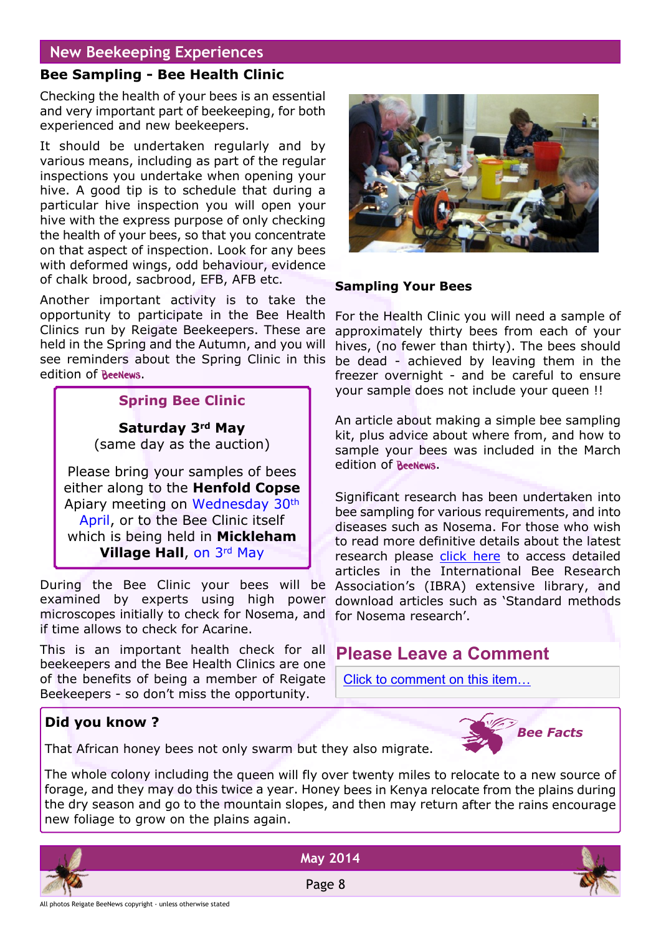# **New Beekeeping Experiences**

# **Bee Sampling - Bee Health Clinic**

Checking the health of your bees is an essential and very important part of beekeeping, for both experienced and new beekeepers.

It should be undertaken regularly and by various means, including as part of the regular inspections you undertake when opening your hive. A good tip is to schedule that during a particular hive inspection you will open your hive with the express purpose of only checking the health of your bees, so that you concentrate on that aspect of inspection. Look for any bees with deformed wings, odd behaviour, evidence of chalk brood, sacbrood, EFB, AFB etc.

Another important activity is to take the opportunity to participate in the Bee Health Clinics run by Reigate Beekeepers. These are held in the Spring and the Autumn, and you will see reminders about the Spring Clinic in this edition of BeeNews.

# **Spring Bee Clinic**

**Saturday 3rd May** (same day as the auction)

Please bring your samples of bees either along to the **Henfold Copse** Apiary meeting on Wednesday 30th April, or to the Bee Clinic itself which is being held in **Mickleham Village Hall**, on 3rd May

During the Bee Clinic your bees will be examined by experts using high power microscopes initially to check for Nosema, and for Nosema research'. if time allows to check for Acarine.

This is an important health check for all beekeepers and the Bee Health Clinics are one of the benefits of being a member of Reigate Beekeepers - so don't miss the opportunity.

### **Sampling Your Bees**

For the Health Clinic you will need a sample of approximately thirty bees from each of your hives, (no fewer than thirty). The bees should be dead - achieved by leaving them in the freezer overnight - and be careful to ensure your sample does not include your queen !!

An article about making a simple bee sampling kit, plus advice about where from, and how to sample your bees was included in the March edition of BeeNews.

Significant research has been undertaken into bee sampling for various requirements, and into diseases such as Nosema. For those who wish to read more definitive details about the latest research please [click here](http://www.ibra.org.uk/search?searchtext=standard+methods+for+nosema+research) to access detailed articles in the International Bee Research Association's (IBRA) extensive library, and download articles such as 'Standard methods

# **Please Leave a Comment**

[Click to comment on this item…](http://rbkbblog.com/2014/04/28/may-2014-beenews/)

# **Did you know ?**

That African honey bees not only swarm but they also migrate.



The whole colony including the queen will fly over twenty miles to relocate to a new source of forage, and they may do this twice a year. Honey bees in Kenya relocate from the plains during the dry season and go to the mountain slopes, and then may return after the rains encourage new foliage to grow on the plains again.



**May 2014**

Page 8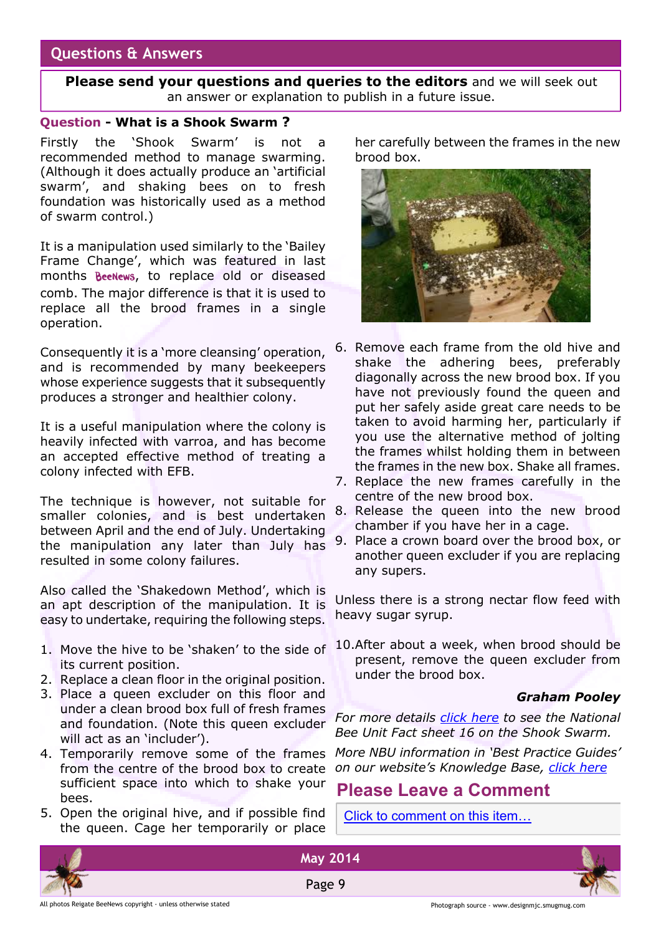# **Questions & Answers**

**Please send your questions and queries to the editors** and we will seek out an answer or explanation to publish in a future issue.

### **Question - What is a Shook Swarm ?**

Firstly the 'Shook Swarm' is not a recommended method to manage swarming. (Although it does actually produce an 'artificial swarm', and shaking bees on to fresh foundation was historically used as a method of swarm control.)

It is a manipulation used similarly to the 'Bailey Frame Change', which was featured in last months BeeNews, to replace old or diseased comb. The major difference is that it is used to replace all the brood frames in a single operation.

Consequently it is a 'more cleansing' operation, and is recommended by many beekeepers whose experience suggests that it subsequently produces a stronger and healthier colony.

It is a useful manipulation where the colony is heavily infected with varroa, and has become an accepted effective method of treating a colony infected with EFB.

The technique is however, not suitable for smaller colonies, and is best undertaken between April and the end of July. Undertaking the manipulation any later than July has resulted in some colony failures.

Also called the 'Shakedown Method', which is an apt description of the manipulation. It is easy to undertake, requiring the following steps.

- 1. Move the hive to be 'shaken' to the side of its current position.
- 2. Replace a clean floor in the original position.
- 3. Place a queen excluder on this floor and under a clean brood box full of fresh frames and foundation. (Note this queen excluder will act as an 'includer').
- 4. Temporarily remove some of the frames from the centre of the brood box to create sufficient space into which to shake your bees.
- 5. Open the original hive, and if possible find the queen. Cage her temporarily or place

her carefully between the frames in the new brood box.



- 6. Remove each frame from the old hive and shake the adhering bees, preferably diagonally across the new brood box. If you have not previously found the queen and put her safely aside great care needs to be taken to avoid harming her, particularly if you use the alternative method of jolting the frames whilst holding them in between the frames in the new box. Shake all frames.
- 7. Replace the new frames carefully in the centre of the new brood box.
- 8. Release the queen into the new brood chamber if you have her in a cage.
- 9. Place a crown board over the brood box, or another queen excluder if you are replacing any supers.

Unless there is a strong nectar flow feed with heavy sugar syrup.

10.After about a week, when brood should be present, remove the queen excluder from under the brood box.

### *Graham Pooley*

*For more details [click here](https://secure.fera.defra.gov.uk/beebase/index.cfm?pageid=167) to see the National Bee Unit Fact sheet 16 on the Shook Swarm.*

*More NBU information in 'Best Practice Guides' on our website's Knowledge Base, [click here](http://rbkbblog.com/2013/10/28/beekeeping-best-practice-guides-from-fera-the-full-list/)*

# **Please Leave a Comment**

[Click to comment on this item…](http://rbkbblog.com/2014/04/28/may-2014-beenews/)







**May 2014**